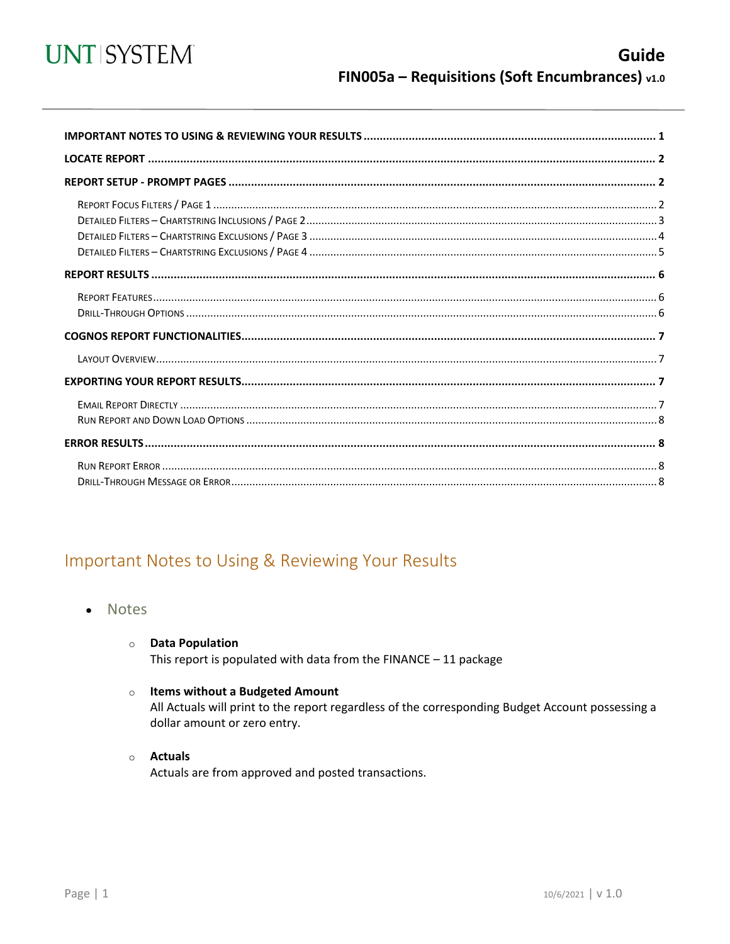

<span id="page-0-0"></span>

## Important Notes to Using & Reviewing Your Results

- Notes  $\bullet$ 
	- **O** Data Population

This report is populated with data from the FINANCE  $-11$  package

#### o Items without a Budgeted Amount

All Actuals will print to the report regardless of the corresponding Budget Account possessing a dollar amount or zero entry.

#### o Actuals

Actuals are from approved and posted transactions.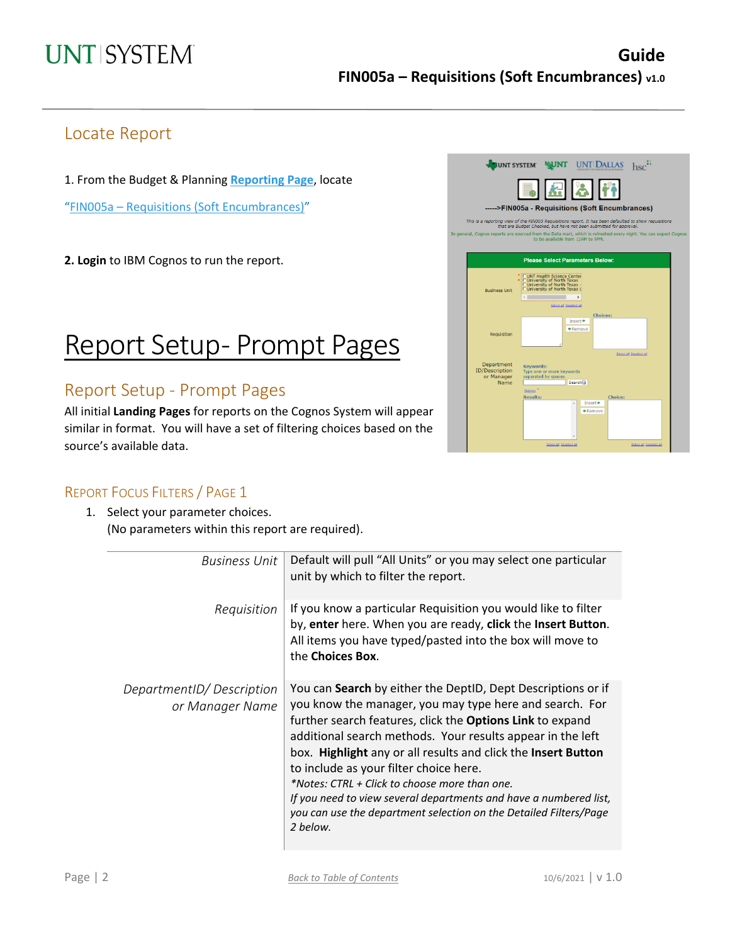## Locate Report

1. From the Budget & Planning **[Reporting Page](https://finance.untsystem.edu/reporting)**, locate

"FIN005a – Requisitions [\(Soft Encumbrances\)"](https://cognospd.admin.unt.edu/bi/?pathRef=.public_folders%2FUniversity%2Bof%2BNorth%2BTexas%2BSystem%2FPurchasing%2F-----%253EFIN005a%2B-%2BRequisitions%2B%2528Soft%2BEncumbrances%2529)

**2. Login** to IBM Cognos to run the report.

# Report Setup- Prompt Pages

### Report Setup - Prompt Pages

All initial **Landing Pages** for reports on the Cognos System will appear similar in format. You will have a set of filtering choices based on the source's available data.



#### REPORT FOCUS FILTERS / PAGE 1

1. Select your parameter choices. (No parameters within this report are required).

| <b>Business Unit</b>                        | Default will pull "All Units" or you may select one particular<br>unit by which to filter the report.                                                                                                                                                                                                                                                                                                                                                                                                                                                                |
|---------------------------------------------|----------------------------------------------------------------------------------------------------------------------------------------------------------------------------------------------------------------------------------------------------------------------------------------------------------------------------------------------------------------------------------------------------------------------------------------------------------------------------------------------------------------------------------------------------------------------|
| Requisition                                 | If you know a particular Requisition you would like to filter<br>by, enter here. When you are ready, click the Insert Button.<br>All items you have typed/pasted into the box will move to<br>the Choices Box.                                                                                                                                                                                                                                                                                                                                                       |
| DepartmentID/Description<br>or Manager Name | You can Search by either the DeptID, Dept Descriptions or if<br>you know the manager, you may type here and search. For<br>further search features, click the Options Link to expand<br>additional search methods. Your results appear in the left<br>box. Highlight any or all results and click the Insert Button<br>to include as your filter choice here.<br>*Notes: CTRL + Click to choose more than one.<br>If you need to view several departments and have a numbered list,<br>you can use the department selection on the Detailed Filters/Page<br>2 helow. |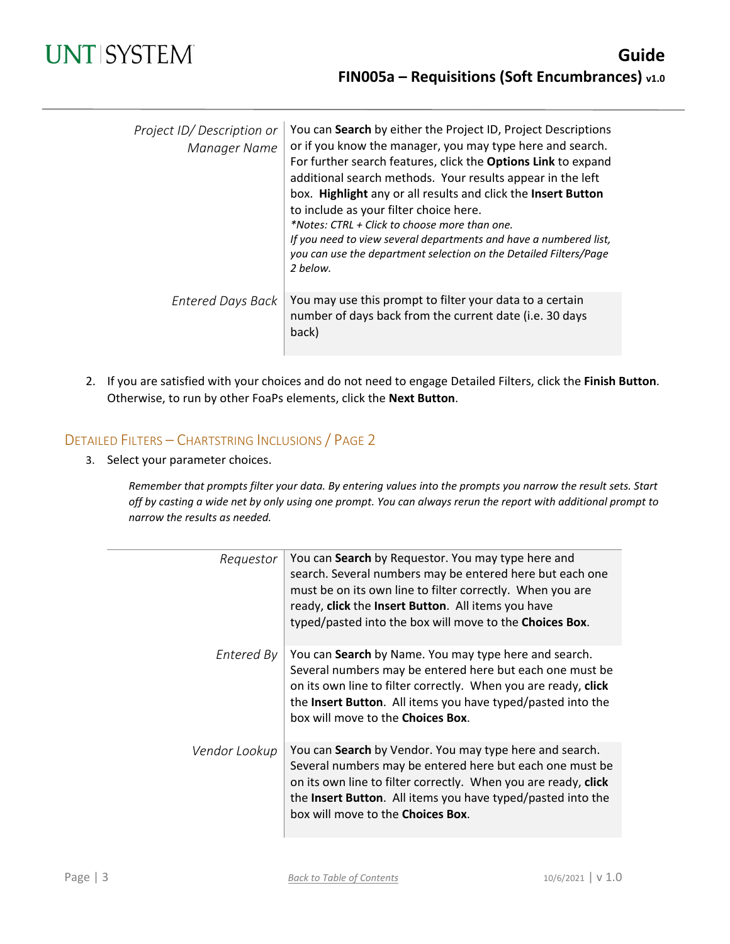| Project ID/Description or<br>Manager Name | You can Search by either the Project ID, Project Descriptions<br>or if you know the manager, you may type here and search.<br>For further search features, click the Options Link to expand<br>additional search methods. Your results appear in the left<br>box. Highlight any or all results and click the Insert Button<br>to include as your filter choice here.<br>*Notes: CTRL + Click to choose more than one.<br>If you need to view several departments and have a numbered list,<br>you can use the department selection on the Detailed Filters/Page<br>2 below. |
|-------------------------------------------|-----------------------------------------------------------------------------------------------------------------------------------------------------------------------------------------------------------------------------------------------------------------------------------------------------------------------------------------------------------------------------------------------------------------------------------------------------------------------------------------------------------------------------------------------------------------------------|
| <b>Entered Days Back</b>                  | You may use this prompt to filter your data to a certain<br>number of days back from the current date (i.e. 30 days<br>back)                                                                                                                                                                                                                                                                                                                                                                                                                                                |

2. If you are satisfied with your choices and do not need to engage Detailed Filters, click the **Finish Button**. Otherwise, to run by other FoaPs elements, click the **Next Button**.

#### DETAILED FILTERS – CHARTSTRING INCLUSIONS / PAGE 2

3. Select your parameter choices.

*Remember that prompts filter your data. By entering values into the prompts you narrow the result sets. Start off by casting a wide net by only using one prompt. You can always rerun the report with additional prompt to narrow the results as needed.*

| Requestor     | You can Search by Requestor. You may type here and<br>search. Several numbers may be entered here but each one<br>must be on its own line to filter correctly. When you are<br>ready, click the Insert Button. All items you have<br>typed/pasted into the box will move to the Choices Box.    |
|---------------|-------------------------------------------------------------------------------------------------------------------------------------------------------------------------------------------------------------------------------------------------------------------------------------------------|
| Entered By    | You can Search by Name. You may type here and search.<br>Several numbers may be entered here but each one must be<br>on its own line to filter correctly. When you are ready, click<br>the Insert Button. All items you have typed/pasted into the<br>box will move to the <b>Choices Box</b> . |
| Vendor Lookup | You can Search by Vendor. You may type here and search.<br>Several numbers may be entered here but each one must be<br>on its own line to filter correctly. When you are ready, click<br>the Insert Button. All items you have typed/pasted into the<br>box will move to the Choices Box.       |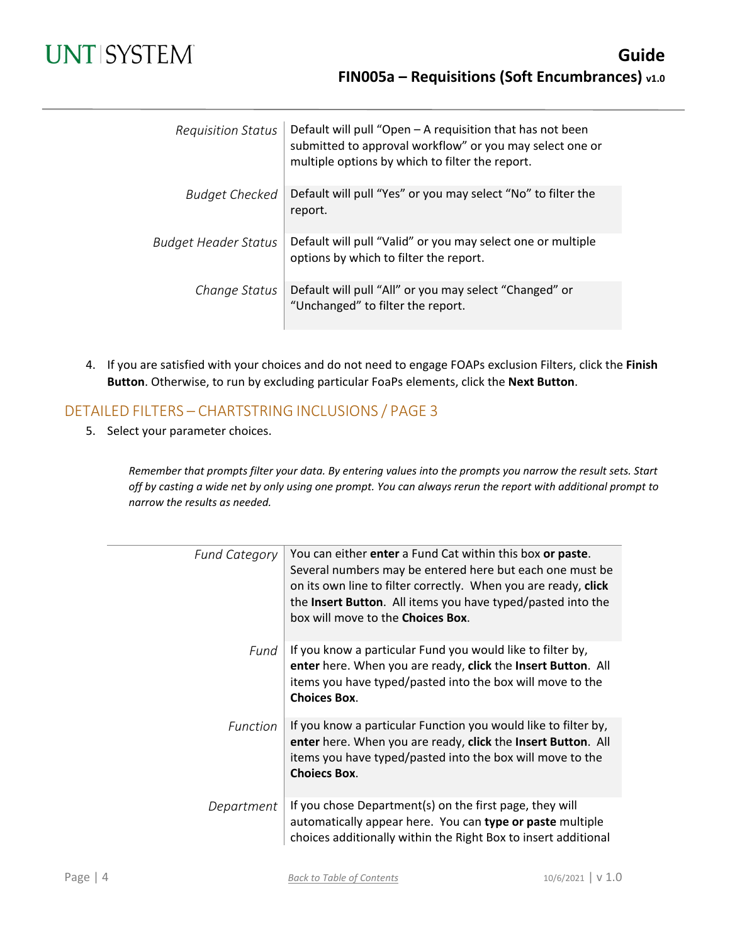# **UNT SYSTEM**

| <b>Requisition Status</b>   | Default will pull "Open - A requisition that has not been<br>submitted to approval workflow" or you may select one or<br>multiple options by which to filter the report. |
|-----------------------------|--------------------------------------------------------------------------------------------------------------------------------------------------------------------------|
| Budget Checked              | Default will pull "Yes" or you may select "No" to filter the<br>report.                                                                                                  |
| <b>Budget Header Status</b> | Default will pull "Valid" or you may select one or multiple<br>options by which to filter the report.                                                                    |
| Change Status               | Default will pull "All" or you may select "Changed" or<br>"Unchanged" to filter the report.                                                                              |

4. If you are satisfied with your choices and do not need to engage FOAPs exclusion Filters, click the **Finish Button**. Otherwise, to run by excluding particular FoaPs elements, click the **Next Button**.

#### DETAILED FILTERS – CHARTSTRING INCLUSIONS / PAGE 3

5. Select your parameter choices.

*Remember that prompts filter your data. By entering values into the prompts you narrow the result sets. Start off by casting a wide net by only using one prompt. You can always rerun the report with additional prompt to narrow the results as needed.*

| <b>Fund Category</b> | You can either enter a Fund Cat within this box or paste.<br>Several numbers may be entered here but each one must be<br>on its own line to filter correctly. When you are ready, click<br>the Insert Button. All items you have typed/pasted into the<br>box will move to the <b>Choices Box</b> . |
|----------------------|-----------------------------------------------------------------------------------------------------------------------------------------------------------------------------------------------------------------------------------------------------------------------------------------------------|
| Fund                 | If you know a particular Fund you would like to filter by,<br>enter here. When you are ready, click the Insert Button. All<br>items you have typed/pasted into the box will move to the<br><b>Choices Box.</b>                                                                                      |
| <b>Function</b>      | If you know a particular Function you would like to filter by,<br>enter here. When you are ready, click the Insert Button. All<br>items you have typed/pasted into the box will move to the<br><b>Choiecs Box.</b>                                                                                  |
| Department           | If you chose Department(s) on the first page, they will<br>automatically appear here. You can type or paste multiple<br>choices additionally within the Right Box to insert additional                                                                                                              |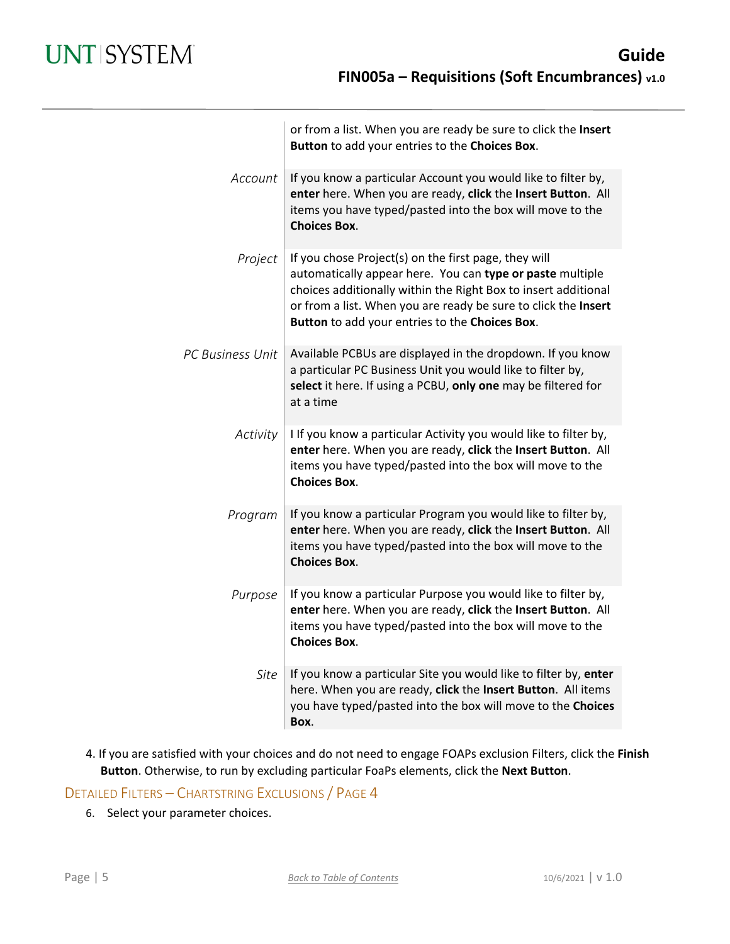|                  | or from a list. When you are ready be sure to click the Insert<br>Button to add your entries to the Choices Box.                                                                                                                                                                                        |
|------------------|---------------------------------------------------------------------------------------------------------------------------------------------------------------------------------------------------------------------------------------------------------------------------------------------------------|
| Account          | If you know a particular Account you would like to filter by,<br>enter here. When you are ready, click the Insert Button. All<br>items you have typed/pasted into the box will move to the<br><b>Choices Box.</b>                                                                                       |
| Project          | If you chose Project(s) on the first page, they will<br>automatically appear here. You can type or paste multiple<br>choices additionally within the Right Box to insert additional<br>or from a list. When you are ready be sure to click the Insert<br>Button to add your entries to the Choices Box. |
| PC Business Unit | Available PCBUs are displayed in the dropdown. If you know<br>a particular PC Business Unit you would like to filter by,<br>select it here. If using a PCBU, only one may be filtered for<br>at a time                                                                                                  |
| Activity         | I If you know a particular Activity you would like to filter by,<br>enter here. When you are ready, click the Insert Button. All<br>items you have typed/pasted into the box will move to the<br><b>Choices Box.</b>                                                                                    |
| Program          | If you know a particular Program you would like to filter by,<br>enter here. When you are ready, click the Insert Button. All<br>items you have typed/pasted into the box will move to the<br><b>Choices Box.</b>                                                                                       |
| Purpose          | If you know a particular Purpose you would like to filter by,<br>enter here. When you are ready, click the Insert Button. All<br>items you have typed/pasted into the box will move to the<br><b>Choices Box.</b>                                                                                       |
| Site             | If you know a particular Site you would like to filter by, enter<br>here. When you are ready, click the Insert Button. All items<br>you have typed/pasted into the box will move to the Choices<br>Box.                                                                                                 |

4. If you are satisfied with your choices and do not need to engage FOAPs exclusion Filters, click the **Finish Button**. Otherwise, to run by excluding particular FoaPs elements, click the **Next Button**.

DETAILED FILTERS – CHARTSTRING EXCLUSIONS / PAGE 4

6. Select your parameter choices.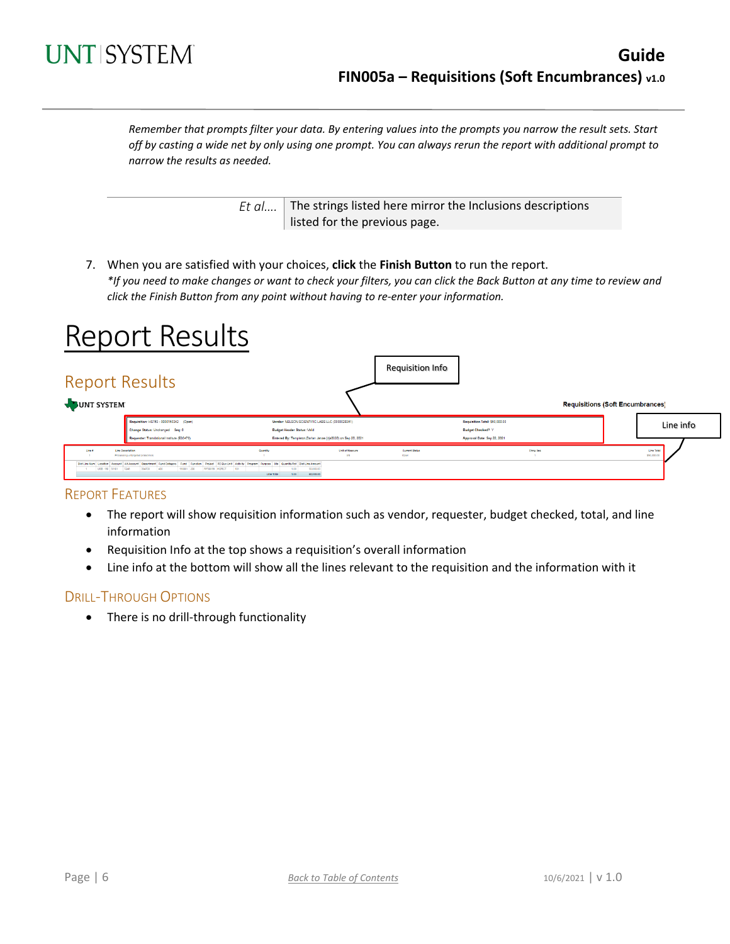

*Remember that prompts filter your data. By entering values into the prompts you narrow the result sets. Start off by casting a wide net by only using one prompt. You can always rerun the report with additional prompt to narrow the results as needed.*

> *Et al....* The strings listed here mirror the Inclusions descriptions listed for the previous page.

7. When you are satisfied with your choices, **click** the **Finish Button** to run the report. *\*If you need to make changes or want to check your filters, you can click the Back Button at any time to review and click the Finish Button from any point without having to re-enter your information.*

# Report Results

| <b>Report Results</b><br>JUNT SYSTEM             |                                                                                                                                                                                                                                                                                             |                                                                                                                                          |                              | <b>Requisition Info</b>       |                                                            | <b>Requisitions (Soft Encumbrances)</b> |                           |
|--------------------------------------------------|---------------------------------------------------------------------------------------------------------------------------------------------------------------------------------------------------------------------------------------------------------------------------------------------|------------------------------------------------------------------------------------------------------------------------------------------|------------------------------|-------------------------------|------------------------------------------------------------|-----------------------------------------|---------------------------|
|                                                  | Requisition: HS783 - 0000150342 (Open)<br>Change Status: Unchanged Seq: 0                                                                                                                                                                                                                   | Vendor: NELSON SCIENTIFIC LABS LLC (0000028351)<br><b>Budget Header Status: Valid</b>                                                    |                              |                               | Requisition Total: \$50,000.00<br><b>Budget Checked? Y</b> |                                         | Line info                 |
| Line Desertation<br>Line #<br>USB 190 51101 7248 | Requester: Translational Institute (E30470)<br>Processing untargeted proteomics<br>DictLine Num Location Account Alt Account Department Fund Category Fund Function Project PC Bus Unit Activity Program Furpose Ste Guantity/Pot DictLine Amount<br>304700 400<br>190001 200 RF50058 HGRCT | Entered By: Templeton, Darian Janae (djs0330) on Sep 20, 2021<br>Quantity<br>50,000.00<br>1.00<br>101<br>60,000.00<br>Line Total<br>1.00 | Unit of Measure<br><b>AN</b> | <b>Current Status</b><br>Open | Approval Date: Sep 22, 2021                                | Ching Seq                               | Line Total<br>\$50,000.00 |

#### REPORT FEATURES

- The report will show requisition information such as vendor, requester, budget checked, total, and line information
- Requisition Info at the top shows a requisition's overall information
- Line info at the bottom will show all the lines relevant to the requisition and the information with it

#### DRILL-THROUGH OPTIONS

• There is no drill-through functionality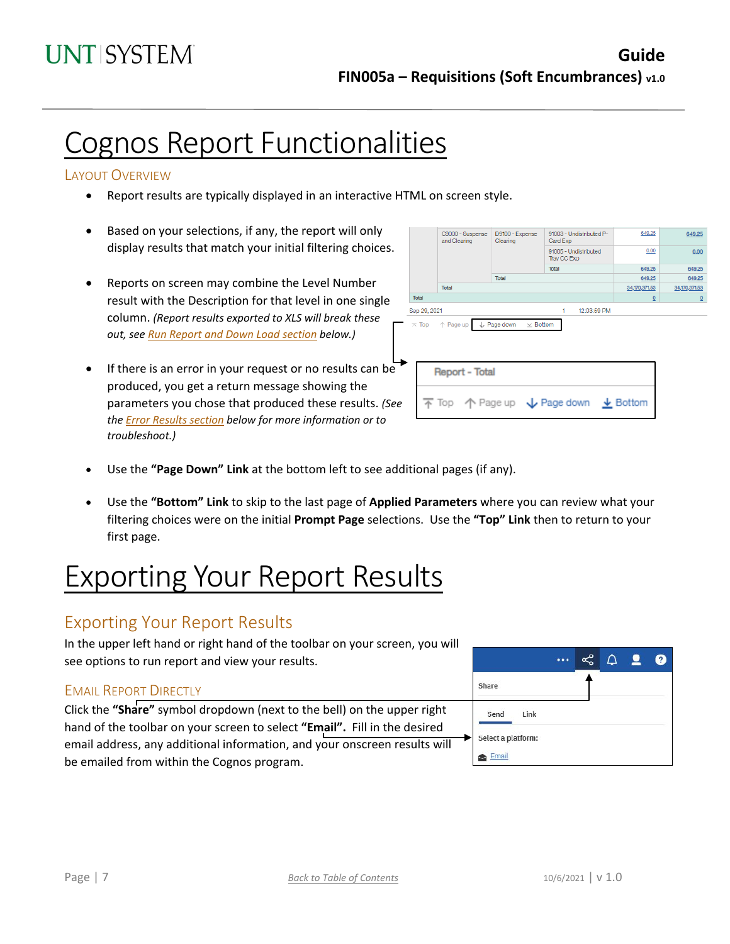# Cognos Report Functionalities

#### LAYOUT OVERVIEW

- Report results are typically displayed in an interactive HTML on screen style.
- Based on your selections, if any, the report will only display results that match your initial filtering choices.
- Reports on screen may combine the Level Number result with the Description for that level in one single column. *(Report results exported to XLS will break these out, see Run Report and Down Load section below.)*
- If there is an error in your request or no results can be produced, you get a return message showing the parameters you chose that produced these results. *(See th[e Error Results section](#page-7-0) below for more information or to troubleshoot.)*

|                         | C9000 - Suspense<br>and Clearing                                                        | D9100 - Expense<br>Clearing               | 91003 - Undistributed P-<br>Card Exp | 649.25        | 649.25         |
|-------------------------|-----------------------------------------------------------------------------------------|-------------------------------------------|--------------------------------------|---------------|----------------|
|                         |                                                                                         |                                           | 91005 - Undistributed<br>Trav CC Exp | 0.00          | 0.00           |
|                         |                                                                                         |                                           | <b>Total</b>                         | 649.25        | 649.25         |
|                         |                                                                                         | Total                                     |                                      | 649.25        | 649.25         |
|                         | Total                                                                                   |                                           |                                      | 34,170,371.53 | 34,170,371.53  |
| Total                   |                                                                                         |                                           |                                      | $\Omega$      | $\overline{0}$ |
| Sep 29, 2021            |                                                                                         |                                           | 12:03:59 PM<br>1                     |               |                |
| $\overline{\wedge}$ Top | ↑ Page up                                                                               | $\downarrow$ Page down<br>$\times$ Bottom |                                      |               |                |
|                         | <b>Report - Total</b>                                                                   |                                           |                                      |               |                |
|                         | $\overline{\uparrow}$ Top $\uparrow$ Page up $\downarrow$ Page down $\downarrow$ Bottom |                                           |                                      |               |                |
|                         |                                                                                         |                                           |                                      |               |                |

- Use the **"Page Down" Link** at the bottom left to see additional pages (if any).
- Use the **"Bottom" Link** to skip to the last page of **Applied Parameters** where you can review what your filtering choices were on the initial **Prompt Page** selections. Use the **"Top" Link** then to return to your first page.

# Exporting Your Report Results

### Exporting Your Report Results

In the upper left hand or right hand of the toolbar on your screen, you will see options to run report and view your results.

#### EMAIL REPORT DIRECTLY

Click the **"Share"** symbol dropdown (next to the bell) on the upper right hand of the toolbar on your screen to select **"Email".** Fill in the desired email address, any additional information, and your onscreen results will be emailed from within the Cognos program.

|                    |  | ٦ | $\mathbf{?}$ |
|--------------------|--|---|--------------|
| Share              |  |   |              |
| Send<br>Link       |  |   |              |
| Select a platform: |  |   |              |
| Email              |  |   |              |